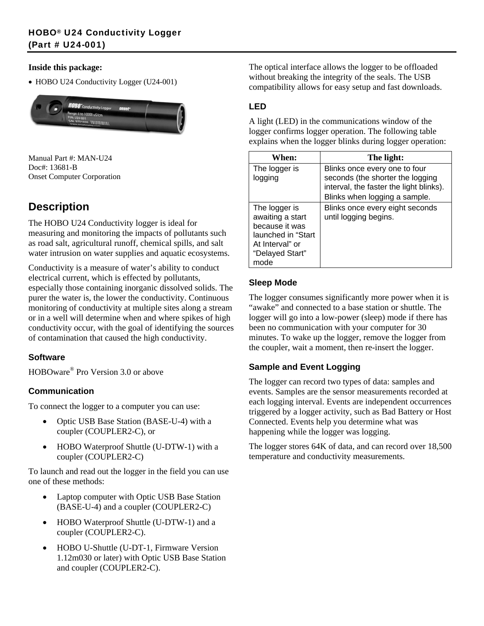#### **Inside this package:**

• HOBO U24 Conductivity Logger (U24-001)



Manual Part #: MAN-U24 Doc#: 13681-B Onset Computer Corporation

## **Description**

The HOBO U24 Conductivity logger is ideal for measuring and monitoring the impacts of pollutants such as road salt, agricultural runoff, chemical spills, and salt water intrusion on water supplies and aquatic ecosystems.

Conductivity is a measure of water's ability to conduct electrical current, which is effected by pollutants, especially those containing inorganic dissolved solids. The purer the water is, the lower the conductivity. Continuous monitoring of conductivity at multiple sites along a stream or in a well will determine when and where spikes of high conductivity occur, with the goal of identifying the sources of contamination that caused the high conductivity.

## **Software**

HOBOware® Pro Version 3.0 or above

## **Communication**

To connect the logger to a computer you can use:

- Optic USB Base Station (BASE-U-4) with a coupler (COUPLER2-C), or
- HOBO Waterproof Shuttle (U-DTW-1) with a coupler (COUPLER2-C)

To launch and read out the logger in the field you can use one of these methods:

- Laptop computer with Optic USB Base Station (BASE-U-4) and a coupler (COUPLER2-C)
- HOBO Waterproof Shuttle (U-DTW-1) and a coupler (COUPLER2-C).
- HOBO U-Shuttle (U-DT-1, Firmware Version 1.12m030 or later) with Optic USB Base Station and coupler (COUPLER2-C).

The optical interface allows the logger to be offloaded without breaking the integrity of the seals. The USB compatibility allows for easy setup and fast downloads.

## **LED**

A light (LED) in the communications window of the logger confirms logger operation. The following table explains when the logger blinks during logger operation:

| When:                                                                                                                   | The light:                                                                                                                                    |
|-------------------------------------------------------------------------------------------------------------------------|-----------------------------------------------------------------------------------------------------------------------------------------------|
| The logger is<br>logging                                                                                                | Blinks once every one to four<br>seconds (the shorter the logging<br>interval, the faster the light blinks).<br>Blinks when logging a sample. |
| The logger is<br>awaiting a start<br>because it was<br>launched in "Start<br>At Interval" or<br>"Delayed Start"<br>mode | Blinks once every eight seconds<br>until logging begins.                                                                                      |

### **Sleep Mode**

The logger consumes significantly more power when it is "awake" and connected to a base station or shuttle. The logger will go into a low-power (sleep) mode if there has been no communication with your computer for 30 minutes. To wake up the logger, remove the logger from the coupler, wait a moment, then re-insert the logger.

#### **Sample and Event Logging**

The logger can record two types of data: samples and events. Samples are the sensor measurements recorded at each logging interval. Events are independent occurrences triggered by a logger activity, such as Bad Battery or Host Connected. Events help you determine what was happening while the logger was logging.

The logger stores 64K of data, and can record over 18,500 temperature and conductivity measurements.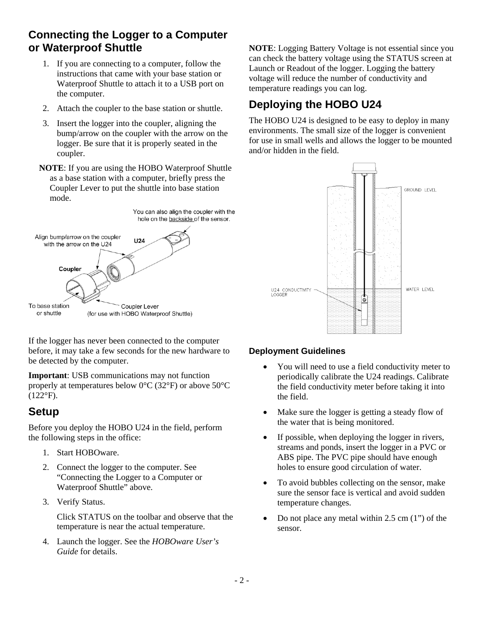## **Connecting the Logger to a Computer or Waterproof Shuttle**

- 1. If you are connecting to a computer, follow the instructions that came with your base station or Waterproof Shuttle to attach it to a USB port on the computer.
- 2. Attach the coupler to the base station or shuttle.
- 3. Insert the logger into the coupler, aligning the bump/arrow on the coupler with the arrow on the logger. Be sure that it is properly seated in the coupler.
- **NOTE**: If you are using the HOBO Waterproof Shuttle as a base station with a computer, briefly press the Coupler Lever to put the shuttle into base station mode.



If the logger has never been connected to the computer before, it may take a few seconds for the new hardware to be detected by the computer.

**Important:** USB communications may not function properly at temperatures below 0°C (32°F) or above 50°C  $(122^{\circ}F).$ 

## **Setup**

Before you deploy the HOBO U24 in the field, perform the following steps in the office:

- 1. Start HOBOware.
- 2. Connect the logger to the computer. See "Connecting the Logger to a Computer or Waterproof Shuttle" above.
- 3. Verify Status.

Click STATUS on the toolbar and observe that the temperature is near the actual temperature.

4. Launch the logger. See the *HOBOware User's Guide* for details.

**NOTE**: Logging Battery Voltage is not essential since you can check the battery voltage using the STATUS screen at Launch or Readout of the logger. Logging the battery voltage will reduce the number of conductivity and temperature readings you can log.

# **Deploying the HOBO U24**

The HOBO U24 is designed to be easy to deploy in many environments. The small size of the logger is convenient for use in small wells and allows the logger to be mounted and/or hidden in the field.



## **Deployment Guidelines**

- You will need to use a field conductivity meter to periodically calibrate the U24 readings. Calibrate the field conductivity meter before taking it into the field.
- Make sure the logger is getting a steady flow of the water that is being monitored.
- If possible, when deploying the logger in rivers, streams and ponds, insert the logger in a PVC or ABS pipe. The PVC pipe should have enough holes to ensure good circulation of water.
- To avoid bubbles collecting on the sensor, make sure the sensor face is vertical and avoid sudden temperature changes.
- Do not place any metal within  $2.5 \text{ cm} (1)$  of the sensor.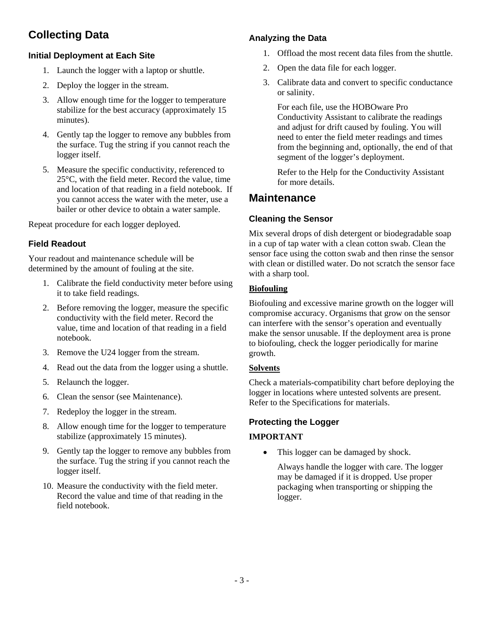## **Collecting Data**

#### **Initial Deployment at Each Site**

- 1. Launch the logger with a laptop or shuttle.
- 2. Deploy the logger in the stream.
- 3. Allow enough time for the logger to temperature stabilize for the best accuracy (approximately 15 minutes).
- 4. Gently tap the logger to remove any bubbles from the surface. Tug the string if you cannot reach the logger itself.
- 5. Measure the specific conductivity, referenced to 25°C, with the field meter. Record the value, time and location of that reading in a field notebook. If you cannot access the water with the meter, use a bailer or other device to obtain a water sample.

Repeat procedure for each logger deployed.

## **Field Readout**

Your readout and maintenance schedule will be determined by the amount of fouling at the site.

- 1. Calibrate the field conductivity meter before using it to take field readings.
- 2. Before removing the logger, measure the specific conductivity with the field meter. Record the value, time and location of that reading in a field notebook.
- 3. Remove the U24 logger from the stream.
- 4. Read out the data from the logger using a shuttle.
- 5. Relaunch the logger.
- 6. Clean the sensor (see Maintenance).
- 7. Redeploy the logger in the stream.
- 8. Allow enough time for the logger to temperature stabilize (approximately 15 minutes).
- 9. Gently tap the logger to remove any bubbles from the surface. Tug the string if you cannot reach the logger itself.
- 10. Measure the conductivity with the field meter. Record the value and time of that reading in the field notebook.

## **Analyzing the Data**

- 1. Offload the most recent data files from the shuttle.
- 2. Open the data file for each logger.
- 3. Calibrate data and convert to specific conductance or salinity.

For each file, use the HOBOware Pro Conductivity Assistant to calibrate the readings and adjust for drift caused by fouling. You will need to enter the field meter readings and times from the beginning and, optionally, the end of that segment of the logger's deployment.

Refer to the Help for the Conductivity Assistant for more details.

## **Maintenance**

### **Cleaning the Sensor**

Mix several drops of dish detergent or biodegradable soap in a cup of tap water with a clean cotton swab. Clean the sensor face using the cotton swab and then rinse the sensor with clean or distilled water. Do not scratch the sensor face with a sharp tool.

#### **Biofouling**

Biofouling and excessive marine growth on the logger will compromise accuracy. Organisms that grow on the sensor can interfere with the sensor's operation and eventually make the sensor unusable. If the deployment area is prone to biofouling, check the logger periodically for marine growth.

#### **Solvents**

Check a materials-compatibility chart before deploying the logger in locations where untested solvents are present. Refer to the Specifications for materials.

#### **Protecting the Logger**

#### **IMPORTANT**

This logger can be damaged by shock.

Always handle the logger with care. The logger may be damaged if it is dropped. Use proper packaging when transporting or shipping the logger.